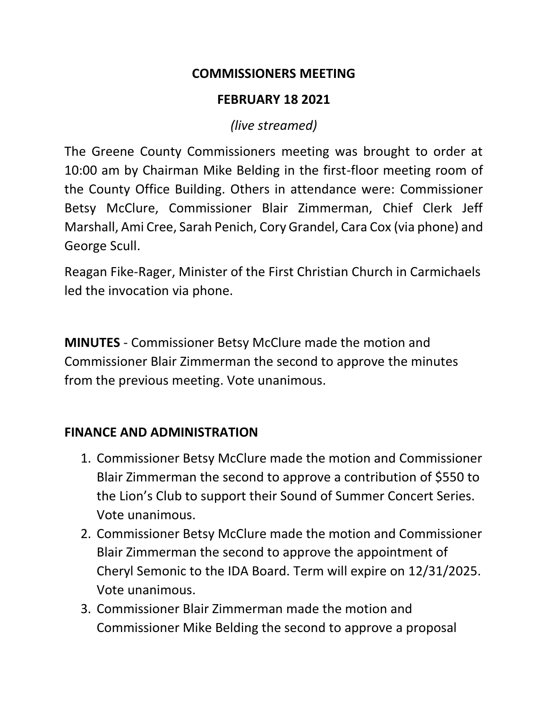### **COMMISSIONERS MEETING**

### **FEBRUARY 18 2021**

*(live streamed)*

The Greene County Commissioners meeting was brought to order at 10:00 am by Chairman Mike Belding in the first-floor meeting room of the County Office Building. Others in attendance were: Commissioner Betsy McClure, Commissioner Blair Zimmerman, Chief Clerk Jeff Marshall, Ami Cree, Sarah Penich, Cory Grandel, Cara Cox (via phone) and George Scull.

Reagan Fike-Rager, Minister of the First Christian Church in Carmichaels led the invocation via phone.

**MINUTES** - Commissioner Betsy McClure made the motion and Commissioner Blair Zimmerman the second to approve the minutes from the previous meeting. Vote unanimous.

#### **FINANCE AND ADMINISTRATION**

- 1. Commissioner Betsy McClure made the motion and Commissioner Blair Zimmerman the second to approve a contribution of \$550 to the Lion's Club to support their Sound of Summer Concert Series. Vote unanimous.
- 2. Commissioner Betsy McClure made the motion and Commissioner Blair Zimmerman the second to approve the appointment of Cheryl Semonic to the IDA Board. Term will expire on 12/31/2025. Vote unanimous.
- 3. Commissioner Blair Zimmerman made the motion and Commissioner Mike Belding the second to approve a proposal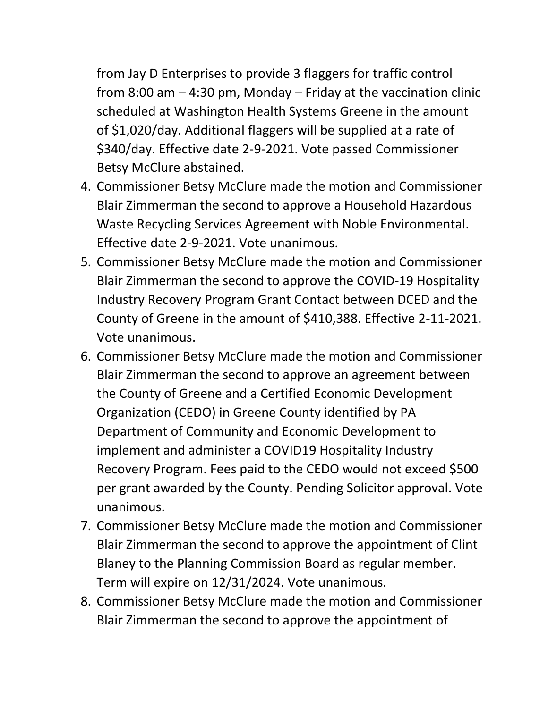from Jay D Enterprises to provide 3 flaggers for traffic control from 8:00 am – 4:30 pm, Monday – Friday at the vaccination clinic scheduled at Washington Health Systems Greene in the amount of \$1,020/day. Additional flaggers will be supplied at a rate of \$340/day. Effective date 2-9-2021. Vote passed Commissioner Betsy McClure abstained.

- 4. Commissioner Betsy McClure made the motion and Commissioner Blair Zimmerman the second to approve a Household Hazardous Waste Recycling Services Agreement with Noble Environmental. Effective date 2-9-2021. Vote unanimous.
- 5. Commissioner Betsy McClure made the motion and Commissioner Blair Zimmerman the second to approve the COVID-19 Hospitality Industry Recovery Program Grant Contact between DCED and the County of Greene in the amount of \$410,388. Effective 2-11-2021. Vote unanimous.
- 6. Commissioner Betsy McClure made the motion and Commissioner Blair Zimmerman the second to approve an agreement between the County of Greene and a Certified Economic Development Organization (CEDO) in Greene County identified by PA Department of Community and Economic Development to implement and administer a COVID19 Hospitality Industry Recovery Program. Fees paid to the CEDO would not exceed \$500 per grant awarded by the County. Pending Solicitor approval. Vote unanimous.
- 7. Commissioner Betsy McClure made the motion and Commissioner Blair Zimmerman the second to approve the appointment of Clint Blaney to the Planning Commission Board as regular member. Term will expire on 12/31/2024. Vote unanimous.
- 8. Commissioner Betsy McClure made the motion and Commissioner Blair Zimmerman the second to approve the appointment of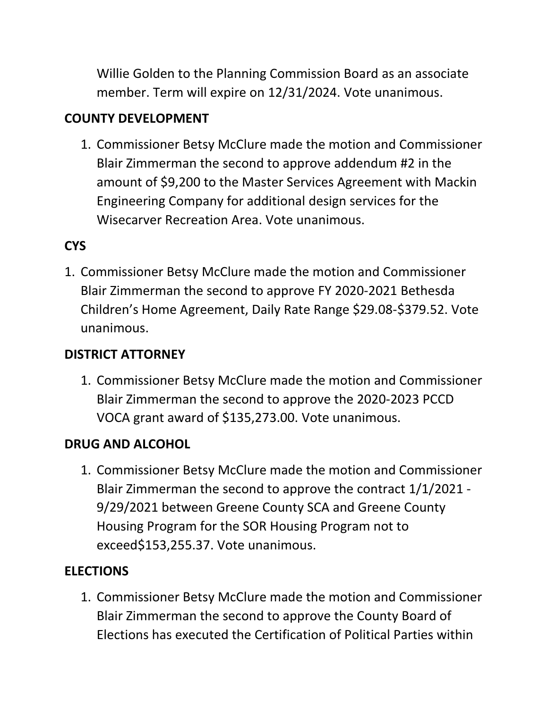Willie Golden to the Planning Commission Board as an associate member. Term will expire on 12/31/2024. Vote unanimous.

# **COUNTY DEVELOPMENT**

1. Commissioner Betsy McClure made the motion and Commissioner Blair Zimmerman the second to approve addendum #2 in the amount of \$9,200 to the Master Services Agreement with Mackin Engineering Company for additional design services for the Wisecarver Recreation Area. Vote unanimous.

# **CYS**

1. Commissioner Betsy McClure made the motion and Commissioner Blair Zimmerman the second to approve FY 2020-2021 Bethesda Children's Home Agreement, Daily Rate Range \$29.08-\$379.52. Vote unanimous.

# **DISTRICT ATTORNEY**

1. Commissioner Betsy McClure made the motion and Commissioner Blair Zimmerman the second to approve the 2020-2023 PCCD VOCA grant award of \$135,273.00. Vote unanimous.

## **DRUG AND ALCOHOL**

1. Commissioner Betsy McClure made the motion and Commissioner Blair Zimmerman the second to approve the contract 1/1/2021 - 9/29/2021 between Greene County SCA and Greene County Housing Program for the SOR Housing Program not to exceed\$153,255.37. Vote unanimous.

# **ELECTIONS**

1. Commissioner Betsy McClure made the motion and Commissioner Blair Zimmerman the second to approve the County Board of Elections has executed the Certification of Political Parties within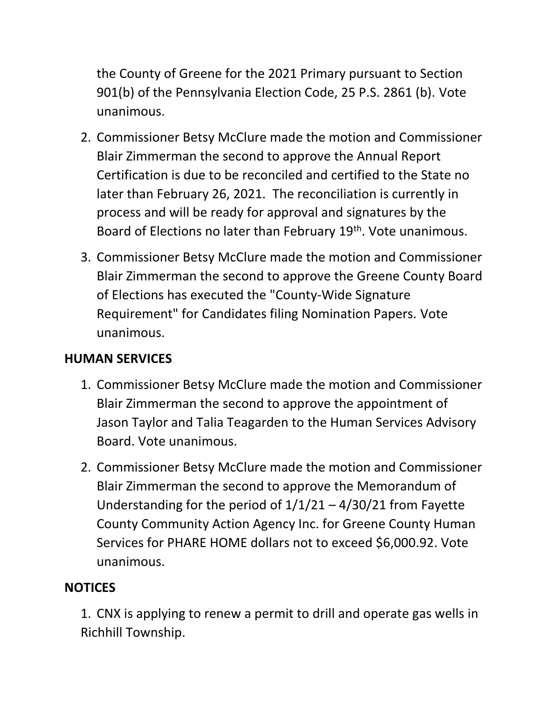the County of Greene for the 2021 Primary pursuant to Section 901(b) of the Pennsylvania Election Code, 25 P.S. 2861 (b). Vote unanimous.

- 2. Commissioner Betsy McClure made the motion and Commissioner Blair Zimmerman the second to approve the Annual Report Certification is due to be reconciled and certified to the State no later than February 26, 2021. The reconciliation is currently in process and will be ready for approval and signatures by the Board of Elections no later than February 19<sup>th</sup>. Vote unanimous.
- 3. Commissioner Betsy McClure made the motion and Commissioner Blair Zimmerman the second to approve the Greene County Board of Elections has executed the "County-Wide Signature Requirement" for Candidates filing Nomination Papers. Vote unanimous.

## **HUMAN SERVICES**

- 1. Commissioner Betsy McClure made the motion and Commissioner Blair Zimmerman the second to approve the appointment of Jason Taylor and Talia Teagarden to the Human Services Advisory Board. Vote unanimous.
- 2. Commissioner Betsy McClure made the motion and Commissioner Blair Zimmerman the second to approve the Memorandum of Understanding for the period of  $1/1/21 - 4/30/21$  from Fayette County Community Action Agency Inc. for Greene County Human Services for PHARE HOME dollars not to exceed \$6,000.92. Vote unanimous.

### **NOTICES**

1. CNX is applying to renew a permit to drill and operate gas wells in Richhill Township.